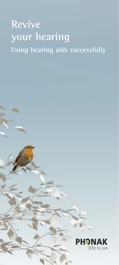# **Revive your hearing Using hearing aids successfully**

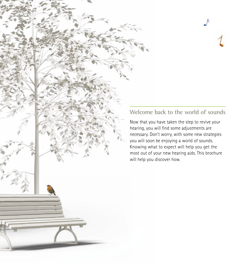## **Welcome back to the world of sounds**

Now that you have taken the step to revive your hearing, you will find some adjustments are necessary. Don't worry, with some new strategies you will soon be enjoying a world of sounds. Knowing what to expect will help you get the most out of your new hearing aids. This brochure will help you discover how.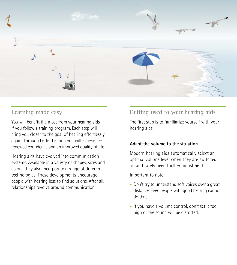

## **Learning made easy**

You will benefit the most from your hearing aids if you follow a training program. Each step will bring you closer to the goal of hearing effortlessly again. Through better hearing you will experience renewed confidence and an improved quality of life.

Hearing aids have evolved into communication systems. Available in a variety of shapes, sizes and colors, they also incorporate a range of different technologies. These developments encourage people with hearing loss to find solutions. After all, relationships revolve around communication.

## **Getting used to your hearing aids**

The first step is to familiarize yourself with your hearing aids.

#### **Adapt the volume to the situation**

Modern hearing aids automatically select an optimal volume level when they are switched on and rarely need further adjustment.

Important to note:

- **•** Don't try to understand soft voices over a great distance. Even people with good hearing cannot do that.
- **•** If you have a volume control, don't set it too high or the sound will be distorted.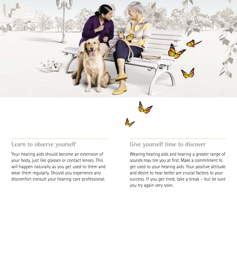



## **Learn to observe yourself**

Your hearing aids should become an extension of your body, just like glasses or contact lenses. This will happen naturally as you get used to them and wear them regularly. Should you experience any discomfort consult your hearing care professional.

## **Give yourself time to discover**

Wearing hearing aids and hearing a greater range of sounds may tire you at first. Make a commitment to get used to your hearing aids. Your positive attitude and desire to hear better are crucial factors to your success. If you get tired, take a break – but be sure you try again very soon.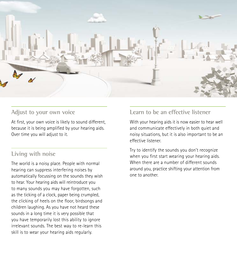

### **Adjust to your own voice**

At first, your own voice is likely to sound different, because it is being amplified by your hearing aids. Over time you will adjust to it.

## **Living with noise**

The world is a noisy place. People with normal hearing can suppress interfering noises by automatically focussing on the sounds they wish to hear. Your hearing aids will reintroduce you to many sounds you may have forgotten, such as the ticking of a clock, paper being crumpled, the clicking of heels on the floor, birdsongs and children laughing. As you have not heard these sounds in a long time it is very possible that you have temporarily lost this ability to ignore irrelevant sounds. The best way to re-learn this skill is to wear your hearing aids regularly.

## **Learn to be an effective listener**

With your hearing aids it is now easier to hear well and communicate effectively in both quiet and noisy situations, but it is also important to be an effective listener.

Try to identify the sounds you don't recognize when you first start wearing your hearing aids. When there are a number of different sounds around you, practice shifting your attention from one to another.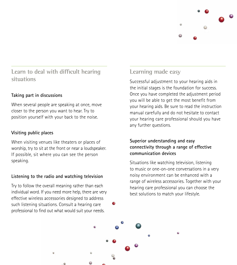

## **Learn to deal with difficult hearing situations**

#### **Taking part in discussions**

When several people are speaking at once, move closer to the person you want to hear. Try to position yourself with your back to the noise.

#### **Visiting public places**

When visiting venues like theaters or places of worship, try to sit at the front or near a loudspeaker. If possible, sit where you can see the person speaking.

#### **Listening to the radio and watching television**

Try to follow the overall meaning rather than each individual word. If you need more help, there are very effective wireless accessories designed to address such listening situations. Consult a hearing care professional to find out what would suit your needs.

## **Learning made easy**

Successful adjustment to your hearing aids in the initial stages is the foundation for success. Once you have completed the adjustment period you will be able to get the most benefit from your hearing aids. Be sure to read the instruction manual carefully and do not hesitate to contact your hearing care professional should you have any further questions.

#### **Superior understanding and easy connectivity through a range of effective communication devices**

Situations like watching television, listening to music or one-on-one conversations in a very noisy environment can be enhanced with a range of wireless accessories. Together with your hearing care professional you can choose the best solutions to match your lifestyle.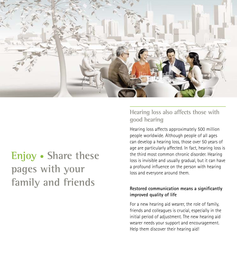

# **Enjoy • Share these pages with your family and friends**

**Hearing loss also affects those with good hearing**

Hearing loss affects approximately 500 million people worldwide. Although people of all ages can develop a hearing loss, those over 50 years of age are particularly affected. In fact, hearing loss is the third most common chronic disorder. Hearing loss is invisible and usually gradual, but it can have a profound influence on the person with hearing loss and everyone around them.

#### **Restored communication means a significantly improved quality of life**

For a new hearing aid wearer, the role of family, friends and colleagues is crucial, especially in the initial period of adjustment. The new hearing aid wearer needs your support and encouragement. Help them discover their hearing aid!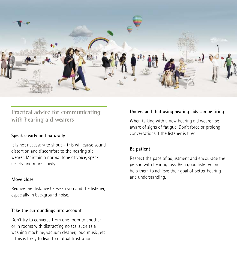

## **Practical advice for communicating with hearing aid wearers**

#### **Speak clearly and naturally**

It is not necessary to shout – this will cause sound distortion and discomfort to the hearing aid wearer. Maintain a normal tone of voice, speak clearly and more slowly.

#### **Move closer**

Reduce the distance between you and the listener, especially in background noise.

#### **Take the surroundings into account**

Don't try to converse from one room to another or in rooms with distracting noises, such as a washing machine, vacuum cleaner, loud music, etc. – this is likely to lead to mutual frustration.

#### **Understand that using hearing aids can be tiring**

When talking with a new hearing aid wearer, be aware of signs of fatigue. Don't force or prolong conversations if the listener is tired.

#### **Be patient**

Respect the pace of adjustment and encourage the person with hearing loss. Be a good listener and help them to achieve their goal of better hearing and understanding.